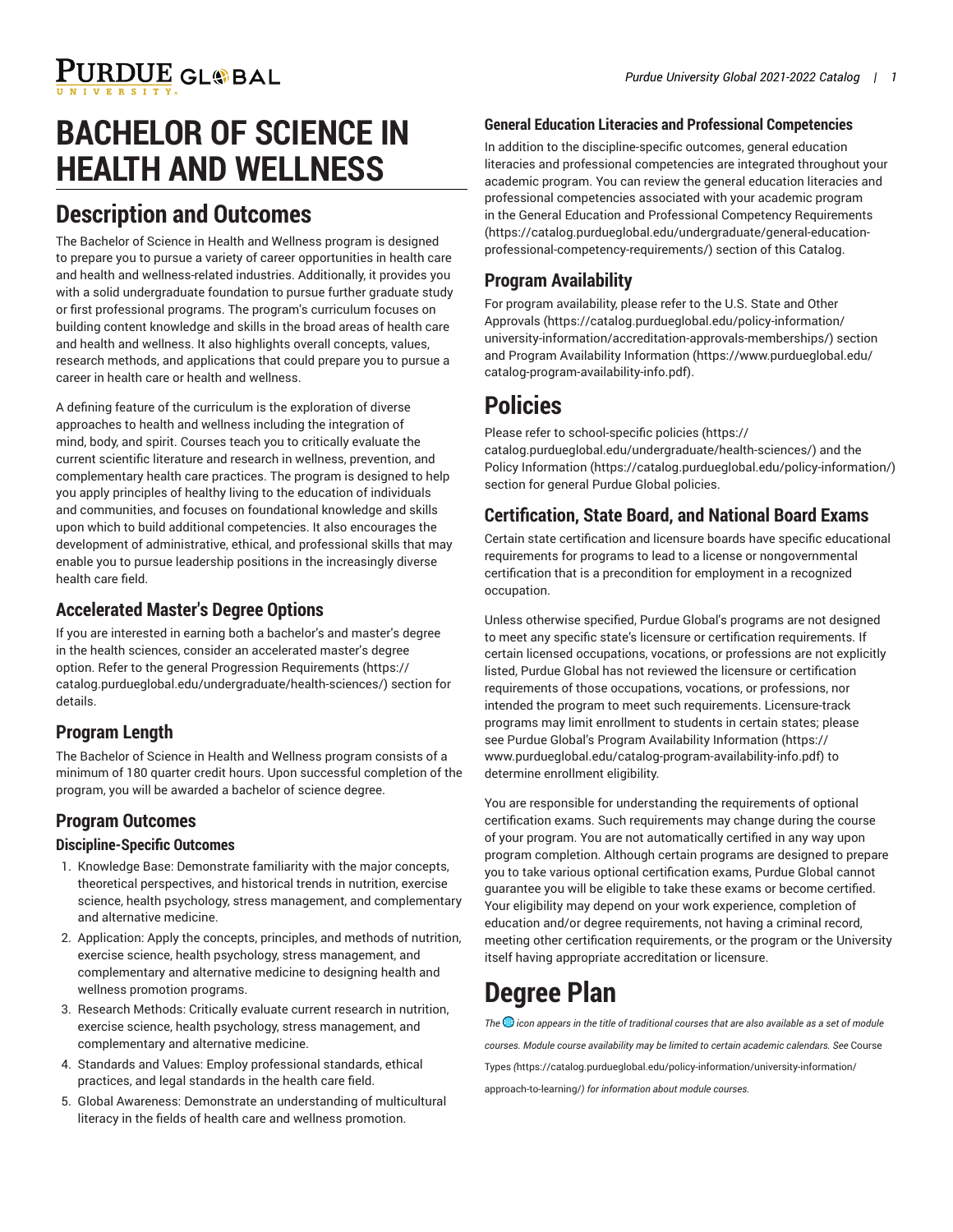# **BACHELOR OF SCIENCE IN HEALTH AND WELLNESS**

## **Description and Outcomes**

The Bachelor of Science in Health and Wellness program is designed to prepare you to pursue a variety of career opportunities in health care and health and wellness-related industries. Additionally, it provides you with a solid undergraduate foundation to pursue further graduate study or first professional programs. The program's curriculum focuses on building content knowledge and skills in the broad areas of health care and health and wellness. It also highlights overall concepts, values, research methods, and applications that could prepare you to pursue a career in health care or health and wellness.

A defining feature of the curriculum is the exploration of diverse approaches to health and wellness including the integration of mind, body, and spirit. Courses teach you to critically evaluate the current scientific literature and research in wellness, prevention, and complementary health care practices. The program is designed to help you apply principles of healthy living to the education of individuals and communities, and focuses on foundational knowledge and skills upon which to build additional competencies. It also encourages the development of administrative, ethical, and professional skills that may enable you to pursue leadership positions in the increasingly diverse health care field.

#### **Accelerated Master's Degree Options**

If you are interested in earning both a bachelor's and master's degree in the health sciences, consider an accelerated master's degree option. Refer to the general Progression [Requirements](https://catalog.purdueglobal.edu/undergraduate/health-sciences/) ([https://](https://catalog.purdueglobal.edu/undergraduate/health-sciences/) [catalog.purdueglobal.edu/undergraduate/health-sciences/\)](https://catalog.purdueglobal.edu/undergraduate/health-sciences/) section for details.

### **Program Length**

The Bachelor of Science in Health and Wellness program consists of a minimum of 180 quarter credit hours. Upon successful completion of the program, you will be awarded a bachelor of science degree.

## **Program Outcomes**

#### **Discipline-Specific Outcomes**

- 1. Knowledge Base: Demonstrate familiarity with the major concepts, theoretical perspectives, and historical trends in nutrition, exercise science, health psychology, stress management, and complementary and alternative medicine.
- 2. Application: Apply the concepts, principles, and methods of nutrition, exercise science, health psychology, stress management, and complementary and alternative medicine to designing health and wellness promotion programs.
- 3. Research Methods: Critically evaluate current research in nutrition, exercise science, health psychology, stress management, and complementary and alternative medicine.
- 4. Standards and Values: Employ professional standards, ethical practices, and legal standards in the health care field.
- 5. Global Awareness: Demonstrate an understanding of multicultural literacy in the fields of health care and wellness promotion.

#### **General Education Literacies and Professional Competencies**

In addition to the discipline-specific outcomes, general education literacies and professional competencies are integrated throughout your academic program. You can review the general education literacies and professional competencies associated with your academic program in the General Education and Professional Competency [Requirements](https://catalog.purdueglobal.edu/undergraduate/general-education-professional-competency-requirements/) [\(https://catalog.purdueglobal.edu/undergraduate/general-education](https://catalog.purdueglobal.edu/undergraduate/general-education-professional-competency-requirements/)[professional-competency-requirements/](https://catalog.purdueglobal.edu/undergraduate/general-education-professional-competency-requirements/)) section of this Catalog.

### **Program Availability**

For program availability, please refer to the [U.S. State and Other](https://catalog.purdueglobal.edu/policy-information/university-information/accreditation-approvals-memberships/) [Approvals](https://catalog.purdueglobal.edu/policy-information/university-information/accreditation-approvals-memberships/) ([https://catalog.purdueglobal.edu/policy-information/](https://catalog.purdueglobal.edu/policy-information/university-information/accreditation-approvals-memberships/) [university-information/accreditation-approvals-memberships/](https://catalog.purdueglobal.edu/policy-information/university-information/accreditation-approvals-memberships/)) section and Program Availability [Information](https://www.purdueglobal.edu/catalog-program-availability-info.pdf) ([https://www.purdueglobal.edu/](https://www.purdueglobal.edu/catalog-program-availability-info.pdf) [catalog-program-availability-info.pdf\)](https://www.purdueglobal.edu/catalog-program-availability-info.pdf).

## **Policies**

Please refer to [school-specific policies](https://catalog.purdueglobal.edu/undergraduate/health-sciences/) ([https://](https://catalog.purdueglobal.edu/undergraduate/health-sciences/) [catalog.purdueglobal.edu/undergraduate/health-sciences/](https://catalog.purdueglobal.edu/undergraduate/health-sciences/)) and the Policy [Information](https://catalog.purdueglobal.edu/policy-information/) (<https://catalog.purdueglobal.edu/policy-information/>) section for general Purdue Global policies.

### **Certification, State Board, and National Board Exams**

Certain state certification and licensure boards have specific educational requirements for programs to lead to a license or nongovernmental certification that is a precondition for employment in a recognized occupation.

Unless otherwise specified, Purdue Global's programs are not designed to meet any specific state's licensure or certification requirements. If certain licensed occupations, vocations, or professions are not explicitly listed, Purdue Global has not reviewed the licensure or certification requirements of those occupations, vocations, or professions, nor intended the program to meet such requirements. Licensure-track programs may limit enrollment to students in certain states; please see Purdue Global's Program Availability [Information](https://www.purdueglobal.edu/catalog-program-availability-info.pdf) ([https://](https://www.purdueglobal.edu/catalog-program-availability-info.pdf) [www.purdueglobal.edu/catalog-program-availability-info.pdf](https://www.purdueglobal.edu/catalog-program-availability-info.pdf)) to determine enrollment eligibility.

You are responsible for understanding the requirements of optional certification exams. Such requirements may change during the course of your program. You are not automatically certified in any way upon program completion. Although certain programs are designed to prepare you to take various optional certification exams, Purdue Global cannot guarantee you will be eligible to take these exams or become certified. Your eligibility may depend on your work experience, completion of education and/or degree requirements, not having a criminal record, meeting other certification requirements, or the program or the University itself having appropriate accreditation or licensure.

## **Degree Plan**

*The icon appears in the title of traditional courses that are also available as a set of module courses. Module course availability may be limited to certain academic calendars. See* [Course](https://catalog.purdueglobal.edu/policy-information/university-information/approach-to-learning/) [Types](https://catalog.purdueglobal.edu/policy-information/university-information/approach-to-learning/) *(*[https://catalog.purdueglobal.edu/policy-information/university-information/](https://catalog.purdueglobal.edu/policy-information/university-information/approach-to-learning/) [approach-to-learning/](https://catalog.purdueglobal.edu/policy-information/university-information/approach-to-learning/)*) for information about module courses.*